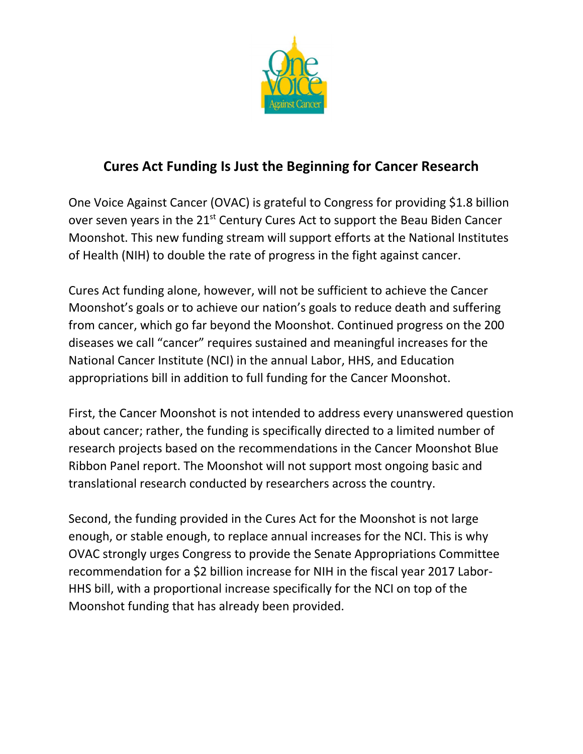

## **Cures Act Funding Is Just the Beginning for Cancer Research**

One Voice Against Cancer (OVAC) is grateful to Congress for providing \$1.8 billion over seven years in the 21<sup>st</sup> Century Cures Act to support the Beau Biden Cancer Moonshot. This new funding stream will support efforts at the National Institutes of Health (NIH) to double the rate of progress in the fight against cancer.

Cures Act funding alone, however, will not be sufficient to achieve the Cancer Moonshot's goals or to achieve our nation's goals to reduce death and suffering from cancer, which go far beyond the Moonshot. Continued progress on the 200 diseases we call "cancer" requires sustained and meaningful increases for the National Cancer Institute (NCI) in the annual Labor, HHS, and Education appropriations bill in addition to full funding for the Cancer Moonshot.

First, the Cancer Moonshot is not intended to address every unanswered question about cancer; rather, the funding is specifically directed to a limited number of research projects based on the recommendations in the Cancer Moonshot Blue Ribbon Panel report. The Moonshot will not support most ongoing basic and translational research conducted by researchers across the country.

Second, the funding provided in the Cures Act for the Moonshot is not large enough, or stable enough, to replace annual increases for the NCI. This is why OVAC strongly urges Congress to provide the Senate Appropriations Committee recommendation for a \$2 billion increase for NIH in the fiscal year 2017 Labor-HHS bill, with a proportional increase specifically for the NCI on top of the Moonshot funding that has already been provided.